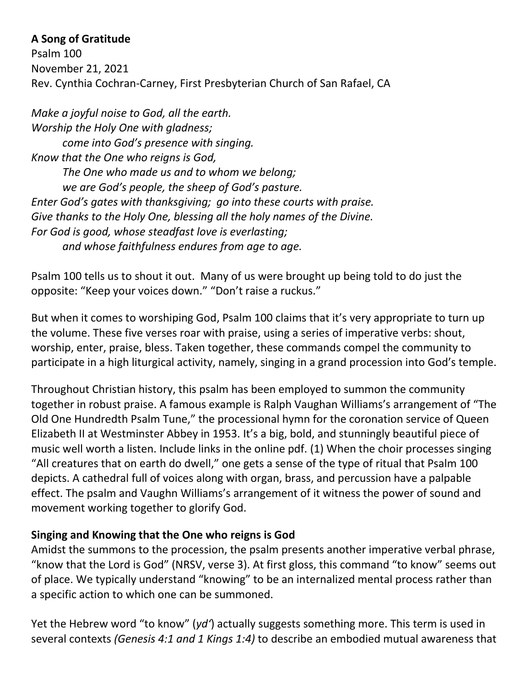## **A Song of Gratitude**

Psalm 100 November 21, 2021 Rev. Cynthia Cochran-Carney, First Presbyterian Church of San Rafael, CA

*Make a joyful noise to God, all the earth. Worship the Holy One with gladness; come into God's presence with singing. Know that the One who reigns is God, The One who made us and to whom we belong; we are God's people, the sheep of God's pasture. Enter God's gates with thanksgiving; go into these courts with praise. Give thanks to the Holy One, blessing all the holy names of the Divine. For God is good, whose steadfast love is everlasting; and whose faithfulness endures from age to age.*

Psalm 100 tells us to shout it out. Many of us were brought up being told to do just the opposite: "Keep your voices down." "Don't raise a ruckus."

But when it comes to worshiping God, Psalm 100 claims that it's very appropriate to turn up the volume. These five verses roar with praise, using a series of imperative verbs: shout, worship, enter, praise, bless. Taken together, these commands compel the community to participate in a high liturgical activity, namely, singing in a grand procession into God's temple.

Throughout Christian history, this psalm has been employed to summon the community together in robust praise. A famous example is Ralph Vaughan Williams's arrangement of "The Old One Hundredth Psalm Tune," the processional hymn for the coronation service of Queen Elizabeth II at Westminster Abbey in 1953. It's a big, bold, and stunningly beautiful piece of music well worth a listen. Include links in the online pdf. (1) When the choir processes singing "All creatures that on earth do dwell," one gets a sense of the type of ritual that Psalm 100 depicts. A cathedral full of voices along with organ, brass, and percussion have a palpable effect. The psalm and Vaughn Williams's arrangement of it witness the power of sound and movement working together to glorify God.

## **Singing and Knowing that the One who reigns is God**

Amidst the summons to the procession, the psalm presents another imperative verbal phrase, "know that the Lord is God" (NRSV, verse 3). At first gloss, this command "to know" seems out of place. We typically understand "knowing" to be an internalized mental process rather than a specific action to which one can be summoned.

Yet the Hebrew word "to know" (*yd'*) actually suggests something more. This term is used in several contexts *(Genesis 4:1 and 1 Kings 1:4)* to describe an embodied mutual awareness that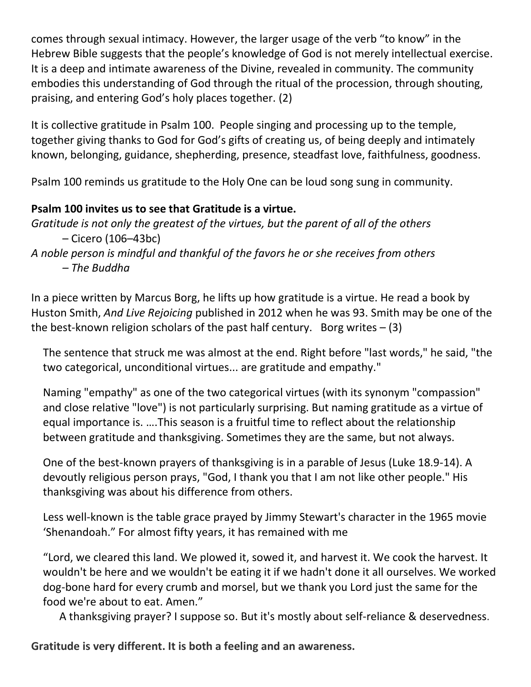comes through sexual intimacy. However, the larger usage of the verb "to know" in the Hebrew Bible suggests that the people's knowledge of God is not merely intellectual exercise. It is a deep and intimate awareness of the Divine, revealed in community. The community embodies this understanding of God through the ritual of the procession, through shouting, praising, and entering God's holy places together. (2)

It is collective gratitude in Psalm 100. People singing and processing up to the temple, together giving thanks to God for God's gifts of creating us, of being deeply and intimately known, belonging, guidance, shepherding, presence, steadfast love, faithfulness, goodness.

Psalm 100 reminds us gratitude to the Holy One can be loud song sung in community.

## **Psalm 100 invites us to see that Gratitude is a virtue.**

*Gratitude is not only the greatest of the virtues, but the parent of all of the others* – Cicero (106–43bc)

*A noble person is mindful and thankful of the favors he or she receives from others – The Buddha*

In a piece written by Marcus Borg, he lifts up how gratitude is a virtue. He read a book by Huston Smith, *And Live Rejoicing* published in 2012 when he was 93. Smith may be one of the the best-known religion scholars of the past half century. Borg writes  $- (3)$ 

The sentence that struck me was almost at the end. Right before "last words," he said, "the two categorical, unconditional virtues... are gratitude and empathy."

Naming "empathy" as one of the two categorical virtues (with its synonym "compassion" and close relative "love") is not particularly surprising. But naming gratitude as a virtue of equal importance is. ….This season is a fruitful time to reflect about the relationship between gratitude and thanksgiving. Sometimes they are the same, but not always.

One of the best-known prayers of thanksgiving is in a parable of Jesus (Luke 18.9-14). A devoutly religious person prays, "God, I thank you that I am not like other people." His thanksgiving was about his difference from others.

Less well-known is the table grace prayed by Jimmy Stewart's character in the 1965 movie 'Shenandoah." For almost fifty years, it has remained with me

"Lord, we cleared this land. We plowed it, sowed it, and harvest it. We cook the harvest. It wouldn't be here and we wouldn't be eating it if we hadn't done it all ourselves. We worked dog-bone hard for every crumb and morsel, but we thank you Lord just the same for the food we're about to eat. Amen."

A thanksgiving prayer? I suppose so. But it's mostly about self-reliance & deservedness.

**Gratitude is very different. It is both a feeling and an awareness.**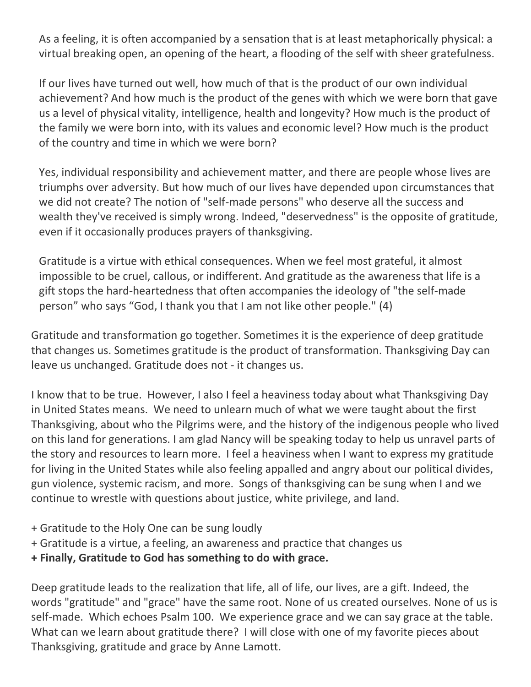As a feeling, it is often accompanied by a sensation that is at least metaphorically physical: a virtual breaking open, an opening of the heart, a flooding of the self with sheer gratefulness.

If our lives have turned out well, how much of that is the product of our own individual achievement? And how much is the product of the genes with which we were born that gave us a level of physical vitality, intelligence, health and longevity? How much is the product of the family we were born into, with its values and economic level? How much is the product of the country and time in which we were born?

Yes, individual responsibility and achievement matter, and there are people whose lives are triumphs over adversity. But how much of our lives have depended upon circumstances that we did not create? The notion of "self-made persons" who deserve all the success and wealth they've received is simply wrong. Indeed, "deservedness" is the opposite of gratitude, even if it occasionally produces prayers of thanksgiving.

Gratitude is a virtue with ethical consequences. When we feel most grateful, it almost impossible to be cruel, callous, or indifferent. And gratitude as the awareness that life is a gift stops the hard-heartedness that often accompanies the ideology of "the self-made person" who says "God, I thank you that I am not like other people." (4)

Gratitude and transformation go together. Sometimes it is the experience of deep gratitude that changes us. Sometimes gratitude is the product of transformation. Thanksgiving Day can leave us unchanged. Gratitude does not - it changes us.

I know that to be true. However, I also I feel a heaviness today about what Thanksgiving Day in United States means. We need to unlearn much of what we were taught about the first Thanksgiving, about who the Pilgrims were, and the history of the indigenous people who lived on this land for generations. I am glad Nancy will be speaking today to help us unravel parts of the story and resources to learn more. I feel a heaviness when I want to express my gratitude for living in the United States while also feeling appalled and angry about our political divides, gun violence, systemic racism, and more. Songs of thanksgiving can be sung when I and we continue to wrestle with questions about justice, white privilege, and land.

- + Gratitude to the Holy One can be sung loudly
- + Gratitude is a virtue, a feeling, an awareness and practice that changes us
- **+ Finally, Gratitude to God has something to do with grace.**

Deep gratitude leads to the realization that life, all of life, our lives, are a gift. Indeed, the words "gratitude" and "grace" have the same root. None of us created ourselves. None of us is self-made. Which echoes Psalm 100. We experience grace and we can say grace at the table. What can we learn about gratitude there? I will close with one of my favorite pieces about Thanksgiving, gratitude and grace by Anne Lamott.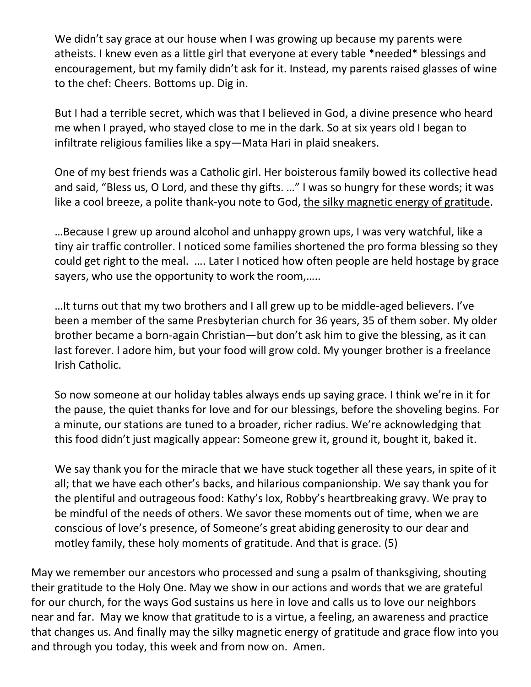We didn't say grace at our house when I was growing up because my parents were atheists. I knew even as a little girl that everyone at every table \*needed\* blessings and encouragement, but my family didn't ask for it. Instead, my parents raised glasses of wine to the chef: Cheers. Bottoms up. Dig in.

But I had a terrible secret, which was that I believed in God, a divine presence who heard me when I prayed, who stayed close to me in the dark. So at six years old I began to infiltrate religious families like a spy—Mata Hari in plaid sneakers.

One of my best friends was a Catholic girl. Her boisterous family bowed its collective head and said, "Bless us, O Lord, and these thy gifts. …" I was so hungry for these words; it was like a cool breeze, a polite thank-you note to God, the silky magnetic energy of gratitude.

…Because I grew up around alcohol and unhappy grown ups, I was very watchful, like a tiny air traffic controller. I noticed some families shortened the pro forma blessing so they could get right to the meal. …. Later I noticed how often people are held hostage by grace sayers, who use the opportunity to work the room,…..

…It turns out that my two brothers and I all grew up to be middle-aged believers. I've been a member of the same Presbyterian church for 36 years, 35 of them sober. My older brother became a born-again Christian—but don't ask him to give the blessing, as it can last forever. I adore him, but your food will grow cold. My younger brother is a freelance Irish Catholic.

So now someone at our holiday tables always ends up saying grace. I think we're in it for the pause, the quiet thanks for love and for our blessings, before the shoveling begins. For a minute, our stations are tuned to a broader, richer radius. We're acknowledging that this food didn't just magically appear: Someone grew it, ground it, bought it, baked it.

We say thank you for the miracle that we have stuck together all these years, in spite of it all; that we have each other's backs, and hilarious companionship. We say thank you for the plentiful and outrageous food: Kathy's lox, Robby's heartbreaking gravy. We pray to be mindful of the needs of others. We savor these moments out of time, when we are conscious of love's presence, of Someone's great abiding generosity to our dear and motley family, these holy moments of gratitude. And that is grace. (5)

May we remember our ancestors who processed and sung a psalm of thanksgiving, shouting their gratitude to the Holy One. May we show in our actions and words that we are grateful for our church, for the ways God sustains us here in love and calls us to love our neighbors near and far. May we know that gratitude to is a virtue, a feeling, an awareness and practice that changes us. And finally may the silky magnetic energy of gratitude and grace flow into you and through you today, this week and from now on. Amen.